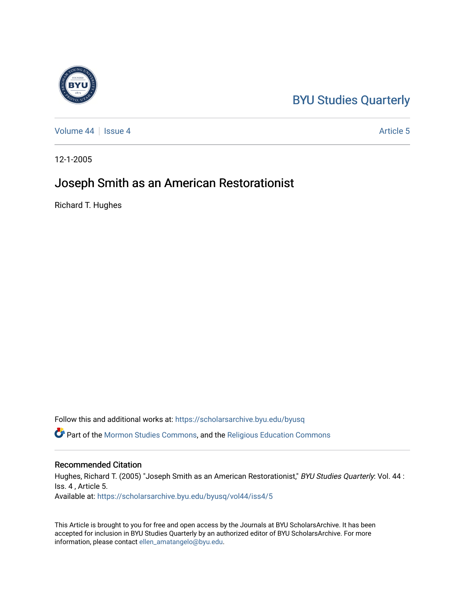# [BYU Studies Quarterly](https://scholarsarchive.byu.edu/byusq)

[Volume 44](https://scholarsarchive.byu.edu/byusq/vol44) | [Issue 4](https://scholarsarchive.byu.edu/byusq/vol44/iss4) Article 5

12-1-2005

## Joseph Smith as an American Restorationist

Richard T. Hughes

Follow this and additional works at: [https://scholarsarchive.byu.edu/byusq](https://scholarsarchive.byu.edu/byusq?utm_source=scholarsarchive.byu.edu%2Fbyusq%2Fvol44%2Fiss4%2F5&utm_medium=PDF&utm_campaign=PDFCoverPages) 

Part of the [Mormon Studies Commons](http://network.bepress.com/hgg/discipline/1360?utm_source=scholarsarchive.byu.edu%2Fbyusq%2Fvol44%2Fiss4%2F5&utm_medium=PDF&utm_campaign=PDFCoverPages), and the [Religious Education Commons](http://network.bepress.com/hgg/discipline/1414?utm_source=scholarsarchive.byu.edu%2Fbyusq%2Fvol44%2Fiss4%2F5&utm_medium=PDF&utm_campaign=PDFCoverPages) 

### Recommended Citation

Hughes, Richard T. (2005) "Joseph Smith as an American Restorationist," BYU Studies Quarterly: Vol. 44 : Iss. 4 , Article 5. Available at: [https://scholarsarchive.byu.edu/byusq/vol44/iss4/5](https://scholarsarchive.byu.edu/byusq/vol44/iss4/5?utm_source=scholarsarchive.byu.edu%2Fbyusq%2Fvol44%2Fiss4%2F5&utm_medium=PDF&utm_campaign=PDFCoverPages)

This Article is brought to you for free and open access by the Journals at BYU ScholarsArchive. It has been accepted for inclusion in BYU Studies Quarterly by an authorized editor of BYU ScholarsArchive. For more information, please contact [ellen\\_amatangelo@byu.edu.](mailto:ellen_amatangelo@byu.edu)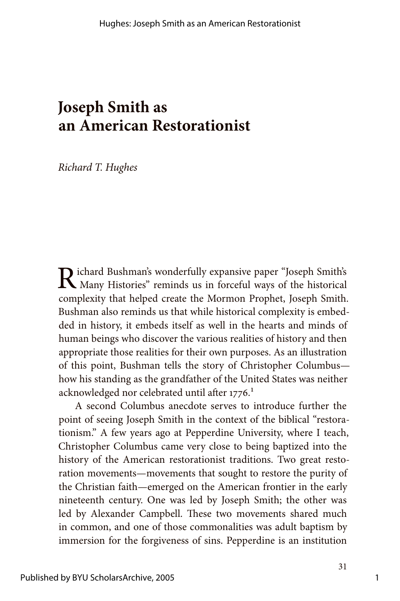## **Joseph Smith as an American Restorationist**

*Richard T. Hughes*

Richard Bushman's wonderfully expansive paper "Joseph Smith's<br>Many Histories" reminds us in forceful ways of the historical complexity that helped create the Mormon Prophet, Joseph Smith. Bushman also reminds us that while historical complexity is embedded in history, it embeds itself as well in the hearts and minds of human beings who discover the various realities of history and then appropriate those realities for their own purposes. As an illustration of this point, Bushman tells the story of Christopher Columbus how his standing as the grandfather of the United States was neither acknowledged nor celebrated until after  $1776$ <sup>1</sup>

 A second Columbus anecdote serves to introduce further the point of seeing Joseph Smith in the context of the biblical "restorationism." A few years ago at Pepperdine University, where I teach, Christopher Columbus came very close to being baptized into the history of the American restorationist traditions. Two great restoration movements—movements that sought to restore the purity of the Christian faith—emerged on the American frontier in the early nineteenth century. One was led by Joseph Smith; the other was led by Alexander Campbell. These two movements shared much in common, and one of those commonalities was adult baptism by immersion for the forgiveness of sins. Pepperdine is an institution

1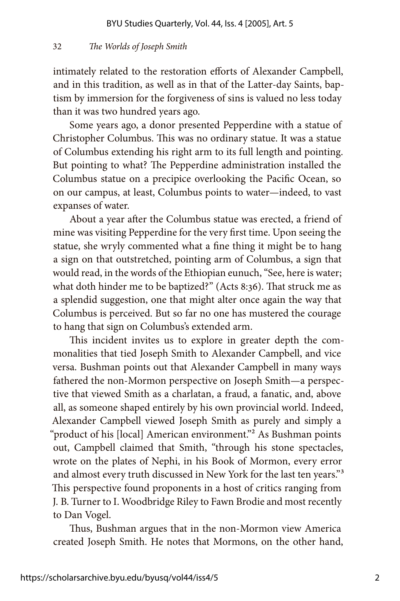intimately related to the restoration efforts of Alexander Campbell, and in this tradition, as well as in that of the Latter-day Saints, baptism by immersion for the forgiveness of sins is valued no less today than it was two hundred years ago.

 Some years ago, a donor presented Pepperdine with a statue of Christopher Columbus. This was no ordinary statue. It was a statue of Columbus extending his right arm to its full length and pointing. But pointing to what? The Pepperdine administration installed the Columbus statue on a precipice overlooking the Pacific Ocean, so on our campus, at least, Columbus points to water—indeed, to vast expanses of water.

 About a year after the Columbus statue was erected, a friend of mine was visiting Pepperdine for the very first time. Upon seeing the statue, she wryly commented what a fine thing it might be to hang a sign on that outstretched, pointing arm of Columbus, a sign that would read, in the words of the Ethiopian eunuch, "See, here is water; what doth hinder me to be baptized?" (Acts 8:36). That struck me as a splendid suggestion, one that might alter once again the way that Columbus is perceived. But so far no one has mustered the courage to hang that sign on Columbus's extended arm.

 This incident invites us to explore in greater depth the commonalities that tied Joseph Smith to Alexander Campbell, and vice versa. Bushman points out that Alexander Campbell in many ways fathered the non-Mormon perspective on Joseph Smith—a perspective that viewed Smith as a charlatan, a fraud, a fanatic, and, above all, as someone shaped entirely by his own provincial world. Indeed, Alexander Campbell viewed Joseph Smith as purely and simply a "product of his [local] American environment."<sup>2</sup> As Bushman points out, Campbell claimed that Smith, "through his stone spectacles, wrote on the plates of Nephi, in his Book of Mormon, every error and almost every truth discussed in New York for the last ten years."<sup>3</sup> This perspective found proponents in a host of critics ranging from J. B. Turner to I. Woodbridge Riley to Fawn Brodie and most recently to Dan Vogel.

 Thus, Bushman argues that in the non-Mormon view America created Joseph Smith. He notes that Mormons, on the other hand,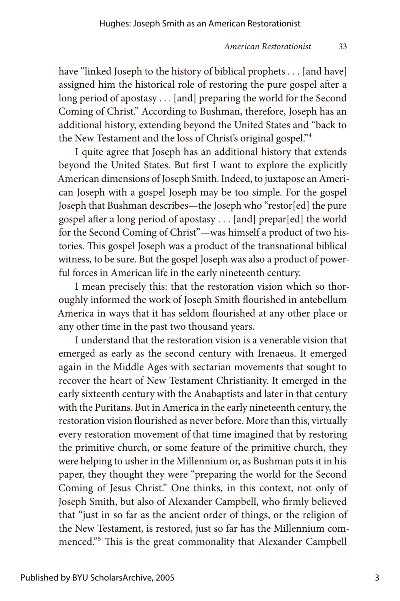have "linked Joseph to the history of biblical prophets . . . [and have] assigned him the historical role of restoring the pure gospel after a long period of apostasy . . . [and] preparing the world for the Second Coming of Christ." According to Bushman, therefore, Joseph has an additional history, extending beyond the United States and "back to the New Testament and the loss of Christ's original gospel."<sup>4</sup>

 I quite agree that Joseph has an additional history that extends beyond the United States. But first I want to explore the explicitly American dimensions of Joseph Smith. Indeed, to juxtapose an American Joseph with a gospel Joseph may be too simple. For the gospel Joseph that Bushman describes—the Joseph who "restor[ed] the pure gospel after a long period of apostasy . . . [and] prepar[ed] the world for the Second Coming of Christ"—was himself a product of two histories. This gospel Joseph was a product of the transnational biblical witness, to be sure. But the gospel Joseph was also a product of powerful forces in American life in the early nineteenth century.

 I mean precisely this: that the restoration vision which so thoroughly informed the work of Joseph Smith flourished in antebellum America in ways that it has seldom flourished at any other place or any other time in the past two thousand years.

 I understand that the restoration vision is a venerable vision that emerged as early as the second century with Irenaeus. It emerged again in the Middle Ages with sectarian movements that sought to recover the heart of New Testament Christianity. It emerged in the early sixteenth century with the Anabaptists and later in that century with the Puritans. But in America in the early nineteenth century, the restoration vision flourished as never before. More than this, virtually every restoration movement of that time imagined that by restoring the primitive church, or some feature of the primitive church, they were helping to usher in the Millennium or, as Bushman puts it in his paper, they thought they were "preparing the world for the Second Coming of Jesus Christ." One thinks, in this context, not only of Joseph Smith, but also of Alexander Campbell, who firmly believed that "just in so far as the ancient order of things, or the religion of the New Testament, is restored, just so far has the Millennium commenced."<sup>5</sup> This is the great commonality that Alexander Campbell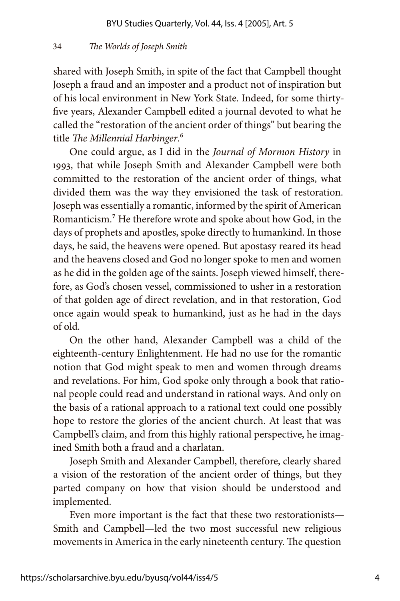shared with Joseph Smith, in spite of the fact that Campbell thought Joseph a fraud and an imposter and a product not of inspiration but of his local environment in New York State. Indeed, for some thirtyfive years, Alexander Campbell edited a journal devoted to what he called the "restoration of the ancient order of things" but bearing the title *The Millennial Harbinger.*<sup>6</sup>

 One could argue, as I did in the *Journal of Mormon History* in 993, that while Joseph Smith and Alexander Campbell were both committed to the restoration of the ancient order of things, what divided them was the way they envisioned the task of restoration. Joseph was essentially a romantic, informed by the spirit of American Romanticism.<sup>7</sup> He therefore wrote and spoke about how God, in the days of prophets and apostles, spoke directly to humankind. In those days, he said, the heavens were opened. But apostasy reared its head and the heavens closed and God no longer spoke to men and women as he did in the golden age of the saints. Joseph viewed himself, therefore, as God's chosen vessel, commissioned to usher in a restoration of that golden age of direct revelation, and in that restoration, God once again would speak to humankind, just as he had in the days of old.

 On the other hand, Alexander Campbell was a child of the eighteenth-century Enlightenment. He had no use for the romantic notion that God might speak to men and women through dreams and revelations. For him, God spoke only through a book that rational people could read and understand in rational ways. And only on the basis of a rational approach to a rational text could one possibly hope to restore the glories of the ancient church. At least that was Campbell's claim, and from this highly rational perspective, he imagined Smith both a fraud and a charlatan.

 Joseph Smith and Alexander Campbell, therefore, clearly shared a vision of the restoration of the ancient order of things, but they parted company on how that vision should be understood and implemented.

 Even more important is the fact that these two restorationists— Smith and Campbell—led the two most successful new religious movements in America in the early nineteenth century. The question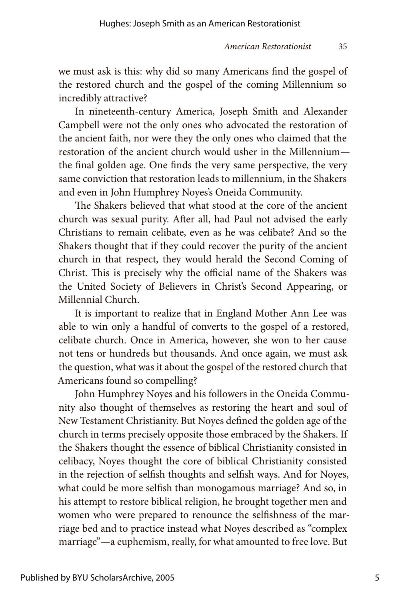we must ask is this: why did so many Americans find the gospel of the restored church and the gospel of the coming Millennium so incredibly attractive?

 In nineteenth-century America, Joseph Smith and Alexander Campbell were not the only ones who advocated the restoration of the ancient faith, nor were they the only ones who claimed that the restoration of the ancient church would usher in the Millennium the final golden age. One finds the very same perspective, the very same conviction that restoration leads to millennium, in the Shakers and even in John Humphrey Noyes's Oneida Community.

 The Shakers believed that what stood at the core of the ancient church was sexual purity. After all, had Paul not advised the early Christians to remain celibate, even as he was celibate? And so the Shakers thought that if they could recover the purity of the ancient church in that respect, they would herald the Second Coming of Christ. This is precisely why the official name of the Shakers was the United Society of Believers in Christ's Second Appearing, or Millennial Church.

 It is important to realize that in England Mother Ann Lee was able to win only a handful of converts to the gospel of a restored, celibate church. Once in America, however, she won to her cause not tens or hundreds but thousands. And once again, we must ask the question, what was it about the gospel of the restored church that Americans found so compelling?

 John Humphrey Noyes and his followers in the Oneida Community also thought of themselves as restoring the heart and soul of New Testament Christianity. But Noyes defined the golden age of the church in terms precisely opposite those embraced by the Shakers. If the Shakers thought the essence of biblical Christianity consisted in celibacy, Noyes thought the core of biblical Christianity consisted in the rejection of selfish thoughts and selfish ways. And for Noyes, what could be more selfish than monogamous marriage? And so, in his attempt to restore biblical religion, he brought together men and women who were prepared to renounce the selfishness of the marriage bed and to practice instead what Noyes described as "complex marriage"—a euphemism, really, for what amounted to free love. But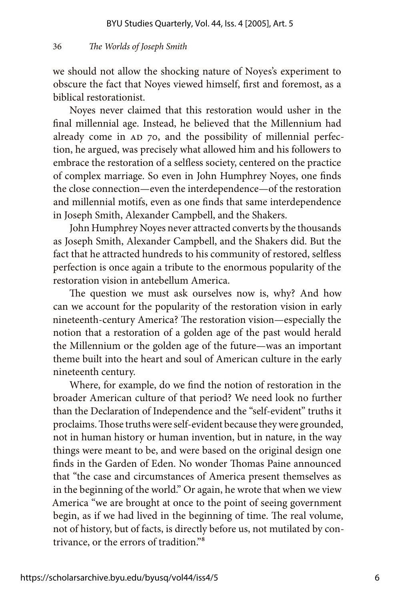we should not allow the shocking nature of Noyes's experiment to obscure the fact that Noyes viewed himself, first and foremost, as a biblical restorationist.

 Noyes never claimed that this restoration would usher in the final millennial age. Instead, he believed that the Millennium had already come in AD 70, and the possibility of millennial perfection, he argued, was precisely what allowed him and his followers to embrace the restoration of a selfless society, centered on the practice of complex marriage. So even in John Humphrey Noyes, one finds the close connection—even the interdependence—of the restoration and millennial motifs, even as one finds that same interdependence in Joseph Smith, Alexander Campbell, and the Shakers.

 John Humphrey Noyes never attracted converts by the thousands as Joseph Smith, Alexander Campbell, and the Shakers did. But the fact that he attracted hundreds to his community of restored, selfless perfection is once again a tribute to the enormous popularity of the restoration vision in antebellum America.

 The question we must ask ourselves now is, why? And how can we account for the popularity of the restoration vision in early nineteenth-century America? The restoration vision—especially the notion that a restoration of a golden age of the past would herald the Millennium or the golden age of the future—was an important theme built into the heart and soul of American culture in the early nineteenth century.

 Where, for example, do we find the notion of restoration in the broader American culture of that period? We need look no further than the Declaration of Independence and the "self-evident" truths it proclaims. Those truths were self-evident because they were grounded, not in human history or human invention, but in nature, in the way things were meant to be, and were based on the original design one finds in the Garden of Eden. No wonder Thomas Paine announced that "the case and circumstances of America present themselves as in the beginning of the world." Or again, he wrote that when we view America "we are brought at once to the point of seeing government begin, as if we had lived in the beginning of time. The real volume, not of history, but of facts, is directly before us, not mutilated by contrivance, or the errors of tradition."<sup>8</sup>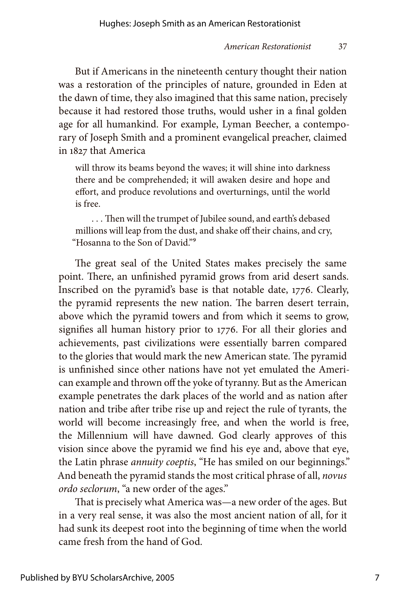But if Americans in the nineteenth century thought their nation was a restoration of the principles of nature, grounded in Eden at the dawn of time, they also imagined that this same nation, precisely because it had restored those truths, would usher in a final golden age for all humankind. For example, Lyman Beecher, a contemporary of Joseph Smith and a prominent evangelical preacher, claimed in 1827 that America

will throw its beams beyond the waves; it will shine into darkness there and be comprehended; it will awaken desire and hope and effort, and produce revolutions and overturnings, until the world is free.

 . . . Then will the trumpet of Jubilee sound, and earth's debased millions will leap from the dust, and shake off their chains, and cry, "Hosanna to the Son of David."<sup>9</sup>

 The great seal of the United States makes precisely the same point. There, an unfinished pyramid grows from arid desert sands. Inscribed on the pyramid's base is that notable date, 1776. Clearly, the pyramid represents the new nation. The barren desert terrain, above which the pyramid towers and from which it seems to grow, signifies all human history prior to 1776. For all their glories and achievements, past civilizations were essentially barren compared to the glories that would mark the new American state. The pyramid is unfinished since other nations have not yet emulated the American example and thrown off the yoke of tyranny. But as the American example penetrates the dark places of the world and as nation after nation and tribe after tribe rise up and reject the rule of tyrants, the world will become increasingly free, and when the world is free, the Millennium will have dawned. God clearly approves of this vision since above the pyramid we find his eye and, above that eye, the Latin phrase *annuity coeptis*, "He has smiled on our beginnings." And beneath the pyramid stands the most critical phrase of all, *novus ordo seclorum*, "a new order of the ages."

 That is precisely what America was—a new order of the ages. But in a very real sense, it was also the most ancient nation of all, for it had sunk its deepest root into the beginning of time when the world came fresh from the hand of God.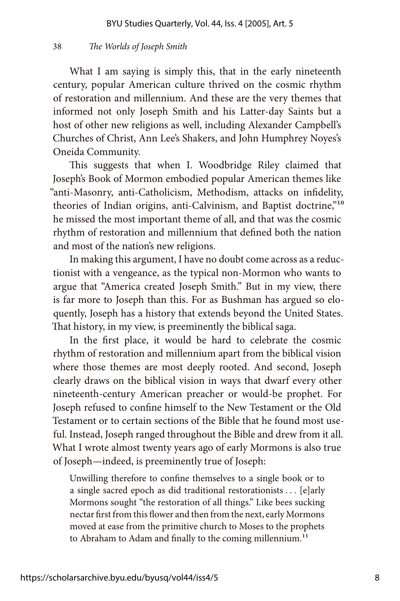What I am saying is simply this, that in the early nineteenth century, popular American culture thrived on the cosmic rhythm of restoration and millennium. And these are the very themes that informed not only Joseph Smith and his Latter-day Saints but a host of other new religions as well, including Alexander Campbell's Churches of Christ, Ann Lee's Shakers, and John Humphrey Noyes's Oneida Community.

 This suggests that when I. Woodbridge Riley claimed that Joseph's Book of Mormon embodied popular American themes like "anti-Masonry, anti-Catholicism, Methodism, attacks on infidelity, theories of Indian origins, anti-Calvinism, and Baptist doctrine,"<sup>10</sup> he missed the most important theme of all, and that was the cosmic rhythm of restoration and millennium that defined both the nation and most of the nation's new religions.

 In making this argument, I have no doubt come across as a reductionist with a vengeance, as the typical non-Mormon who wants to argue that "America created Joseph Smith." But in my view, there is far more to Joseph than this. For as Bushman has argued so eloquently, Joseph has a history that extends beyond the United States. That history, in my view, is preeminently the biblical saga.

 In the first place, it would be hard to celebrate the cosmic rhythm of restoration and millennium apart from the biblical vision where those themes are most deeply rooted. And second, Joseph clearly draws on the biblical vision in ways that dwarf every other nineteenth-century American preacher or would-be prophet. For Joseph refused to confine himself to the New Testament or the Old Testament or to certain sections of the Bible that he found most useful. Instead, Joseph ranged throughout the Bible and drew from it all. What I wrote almost twenty years ago of early Mormons is also true of Joseph—indeed, is preeminently true of Joseph:

Unwilling therefore to confine themselves to a single book or to a single sacred epoch as did traditional restorationists . . . [e]arly Mormons sought "the restoration of all things." Like bees sucking nectar first from this flower and then from the next, early Mormons moved at ease from the primitive church to Moses to the prophets to Abraham to Adam and finally to the coming millennium.<sup>11</sup>